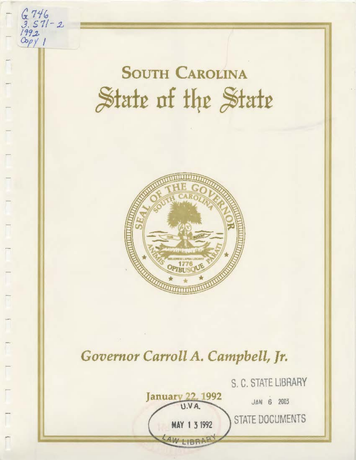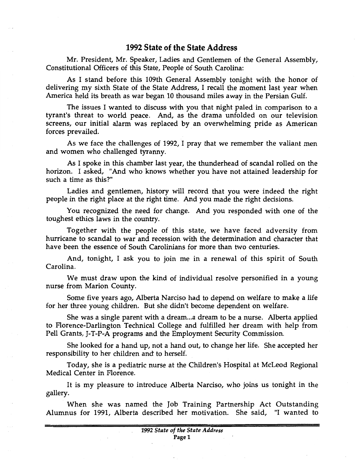## **1992 State of the State Address**

Mr. President, Mr. Speaker, Ladies and Gentlemen of the General Assembly, Constitutional Officers of this State, People of South Carolina:

As I stand before this 109th General Assembly tonight with the honor of delivering my sixth State of the State Address, I recall the moment last year when America held its breath as war began 10 thousand miles away in the Persian Gulf.

The issues I wanted to discuss with you that night paled in comparison to a tyrant's threat to world peace. And, as the drama unfolded on our television screens, our initial alarm was replaced by an overwhelming pride as American forces prevailed.

As we face the challenges of 1992, I pray that we remember the valiant men and women who challenged tyranny.

As I spoke in this chamber last year, the thunderhead of scandal rolled on the horizon. I asked, "And who knows whether you have not attained leadership for such a time as this?"

Ladies and gentlemen, history will record that you were indeed the right people in the right place at the right time. And you made the right decisions.

You recognized the need for change. And you responded with one of the toughest ethics laws in the country.

Together with the people of this state, we have faced adversity from hurricane to scandal to war and recession with the determination and character that have been the essence of South Carolinians for more than two centuries.

And, tonight, I ask you to join me in a renewal of this spirit of South Carolina.

We must draw upon the kind of individual resolve personified in a young nurse from Marion County.

Some five years ago, Alberta Narciso had to depend on welfare to make a life for her three young children. But she didn't become dependent on welfare.

She was a single parent with a dream ... a dream to be a nurse. Alberta applied to Florence-Darlington Technical College and fulfilled her dream with help from Pell Grants, J-T -P-A programs and the Employment Security Commission.

She looked for a hand up, not a hand out, to change her life. She accepted her responsibility to her children and to herself.

Today, she is a pediatric nurse at the Children's Hospital at McLeod Regional Medical Center in Florence.

It is my pleasure to introduce Alberta Narciso, who joins us tonight in the gallery.

When she was named the Job Training Partnership Act Outstanding Alumnus for 1991, Alberta described her motivation. She said, "I wanted to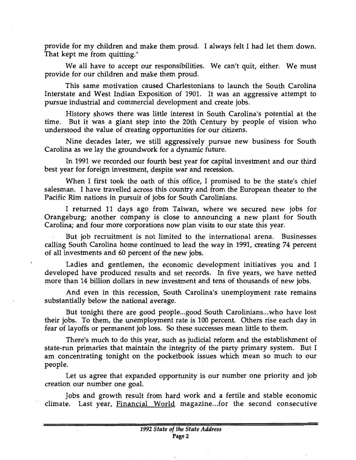provide for my children and make them proud. I always felt I had let them down. That kept me from quitting."

We all have to accept our responsibilities. We can't quit, either. We must provide for our children and make them proud.

This same motivation caused Charlestonians to launch the South Carolina Interstate and West Indian Exposition of 1901. It was an aggressive attempt to pursue industrial and commercial development and create jobs.

History shows there was little interest in South Carolina's potential at the time. But it was a giant step into the 20th Century by people of vision who understood the value of creating opportunities for our citizens.

Nine decades later, we still aggressively pursue new business for South Carolina as we lay the groundwork for a dynamic future.

In 1991 we recorded our fourth best year for capital investment and our third best year for foreign investment, despite war and recession.

When I first took the oath of this office, I promised to be the state's chief salesman. I have travelled across this country and from the European theater to the Pacific Rim nations in pursuit of jobs for South Carolinians.

I returned 11 days ago from Taiwan, where we secured new jobs for Orangeburg; another company is close to announcing a new plant for South Carolina; and four more corporations now plan visits to our state this year.

But job recruitment is not limited to the international arena. Businesses calling South Carolina home continued to lead the way in 1991, creating 74 percent of all investments and 60 percent of the new jobs.

Ladies and gentlemen, the economic development initiatives you and I developed have produced results and set records. In five years, we have netted more than 14 billion dollars in new investment and tens of thousands of new jobs.

And even in this recession, South Carolina's unemployment rate remains substantially below the national average.

But tonight there are good people...good South Carolinians...who have lost their jobs. To them, the unemployment rate is 100 percent. Others rise each day in fear of layoffs or permanent job loss. So these successes mean little to them.

There's much to do this year, such as judicial reform and the establishment of state-run primaries that maintain the integrity of the party primary system. But I am concentrating tonight on the pocketbook issues which mean so much to our people.

Let us agree that expanded opportunity is our number one priority and job creation our number one goal.

Jobs and growth result from hard work and a fertile and stable economic climate. Last year, Financial World magazine...for the second consecutive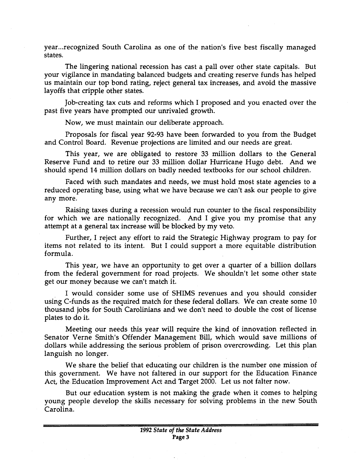year... recognized South Carolina as one of the nation's five best fiscally managed states.

The lingering national recession has cast a pall over other state capitals. But your vigilance in mandating balanced budgets and creating reserve funds has helped us maintain our top bond rating, reject general tax increases, and avoid the massive layoffs that cripple other states.

Job-creating tax cuts and reforms which I proposed and you enacted over the past five years have prompted our unrivaled growth.

Now, we must maintain our deliberate approach.

Proposals for fiscal year 92-93 have been forwarded to you from the Budget and Control Board. Revenue projections are limited and our needs are great.

This year, we are obligated to restore 33 million dollars to the General Reserve Fund and to retire our 33 million dollar Hurricane Hugo debt. And we should spend 14 million dollars on badly needed textbooks for our school children.

Faced with such mandates and needs, we must hold most state agencies to a reduced operating base, using what we have because we can't ask our people to give any more.

Raising taxes during a recession would run counter to the fiscal responsibility for which we are nationally recognized. And I give you my promise that any attempt at a general tax increase will be blocked by my veto.

Further, I reject any effort to raid the Strategic Highway program to pay for items not related to its intent. But I could support a more equitable distribution formula.

This year, we have an opportunity to get over a quarter of a billion dollars from the federal government for road projects. We shouldn't let some other state get our money because we can't match it.

I would consider some use of SHIMS revenues and you should consider using C-funds as the required match for these federal dollars. We can create some 10 thousand jobs for South Carolinians and we don't need to double the cost of license plates to do it.

Meeting our needs this year will require the kind of innovation reflected in Senator Verne Smith's Offender Management Bill, which would save millions of dollars while addressing the serious problem of prison overcrowding. Let this plan languish no longer.

We share the belief that educating our children is the number one mission of this government. We have not faltered in our support for the Education Finance Act, the Education Improvement Act and Target 2000. Let us not falter now.

But our education system is not making the grade when it comes to helping young people develop the skills necessary for solving problems in the new South Carolina.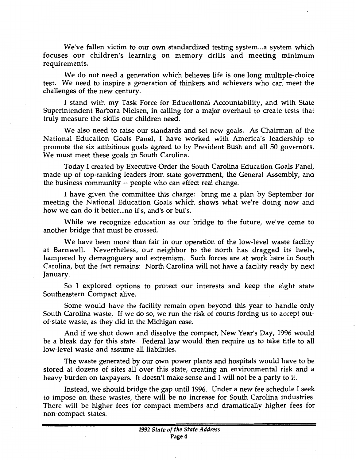We've fallen victim to our own standardized testing system... a system which focuses our children's learning on memory drills and meeting minimum requirements.

We do not need a generation which believes life is one long multiple-choice test. We need to inspire a generation of thinkers and achievers who can meet the challenges of the new century.

I stand with my Task Force for Educational Accountability, and with State Superintendent Barbara Nielsen, in calling for a major overhaul to create tests that truly measure the skills our children need.

We also need to raise our standards and set new goals. As Chairman of the National Education Goals Panel, I have worked with America's leadership to promote the six ambitious goals agreed to by President Bush and all 50 governors. We must meet these goals in South Carolina.

Today I created by Executive Order the South Carolina Education Goals Panel, made up of top-ranking leaders from state government, the General Assembly, and the business community -- people who can effect real change.

I have given the committee this charge: bring me a plan by September for meeting the National Education Goals which shows what we're doing now and how we can do it better...no if's, and's or but's.

While we recognize education as our bridge to the future, we've come to another bridge that must be crossed.

We have been more than fair in our operation of the low-level waste facility at Barnwell. Nevertheless, our neighbor to the north has dragged its heels, hampered by demagoguery and extremism. Such forces are at work here in South Carolina, but the fact remains: North Carolina will not have a facility ready by next January.

So I explored options to protect our interests and keep the eight state Southeastern Compact alive.

Some would have the facility remain open beyond this year to handle only South Carolina waste. If we do so, we run the risk of courts forcing us to accept outof-state waste, as they did in the Michigan case.

And if we shut down and dissolve the compact, New Year's Day, 1996 would be a bleak day for this state. Federal law would then require us to take title to all low-level waste and assume all liabilities.

The waste generated by our own power plants and hospitals would have to be stored at dozens of sites all over this state, creating an environmental risk and a heavy burden on taxpayers. It doesn't make sense and I will not be a party to it.

Instead, we should bridge the gap until 1996. Under a new fee schedule I seek to impose on these wastes, there will be no increase for South Carolina industries. There will be higher fees for compact members and dramatically higher fees for non-compact states.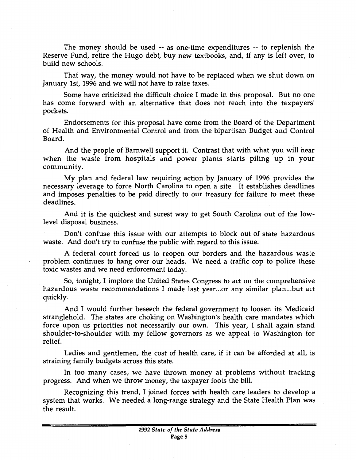The money should be used -- as one-time expenditures -- to replenish the Reserve Fund, retire the Hugo debt, buy new textbooks, and, if any is left over, to build new schools.

That way, the money would not have to be replaced when we shut down on January 1st, 1996 and we will not have to raise taxes.

Some have criticized the difficult choice I made in this proposal. But no one has come forward with an alternative that does not reach into the taxpayers' pockets.

Endorsements for this proposal have come from the Board of the Department of Health and Environmental Control and from the bipartisan Budget and Control Board.

And the people of Barnwell support it. Contrast that with what you will hear when the waste from hospitals and power plants starts piling up in your community.

My plan and federal law requiring action by January of 1996 provides the necessary leverage to force North Carolina to open a site. It establishes deadlines and imposes penalties to be paid directly to our treasury for failure to meet these deadlines.

And it is the quickest and surest way to get South Carolina out of the lowlevel disposal business.

Don't confuse this issue with our attempts to block out-of-state hazardous waste. And don't try to confuse the public with regard to this issue.

A federal court forced us to reopen our borders and the hazardous waste problem continues to hang over our heads. We need a traffic cop to police these toxic wastes and we need enforcement today.

So, tonight, I implore the United States Congress to act on the comprehensive hazardous waste recommendations I made last year...or any similar plan...but act quickly.

And I would further beseech the federal government to loosen its Medicaid stranglehold. The states are choking on Washington's health care mandates which force upon us priorities not necessarily our own. This year, I shall again stand shoulder-to-shoulder with my fellow governors as we appeal to Washington for relief.

Ladies and gentlemen, the cost of health care, if it can be afforded at all, is straining family budgets across this state.

In too many cases, we have thrown money at problems without tracking progress. And when we throw money, the taxpayer foots the bill.

Recognizing this trend, I joined forces with health care leaders to develop a system that works. We needed a long-range strategy and the State Health Plan was the result.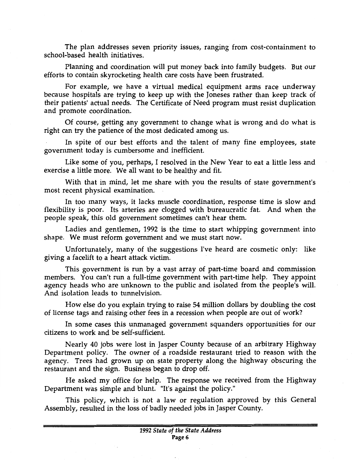The plan addresses seven priority issues, ranging from cost-containment to school-based health initiatives.

Planning and coordination will put money back into family budgets. But our efforts to contain skyrocketing health care costs have been frustrated.

For example, we have a virtual medical equipment arms race underway because hospitals are trying to keep up with the Joneses rather than keep track of their patients' actual needs. The Certificate of Need program must resist duplication and promote coordination.

Of course, getting any government to change what is wrong and do what is right can try the patience of the most dedicated among us.

In spite of our best efforts and the talent of many fine employees, state government today is cumbersome and inefficient.

Like some of you, perhaps, I resolved in the New Year to eat a little less and exercise a little more. We all want to be healthy and fit.

With that in mind, let me share with you the results of state government's most recent physical examination.

In too many ways, it lacks muscle coordination, response time is slow and flexibility is poor. Its arteries are clogged with bureaucratic fat. And when the people speak, this old government sometimes can't hear them.

Ladies and gentlemen, 1992 is the time to start whipping government into shape. We must reform government and we must start now.

Unfortunately, many of the suggestions I've heard are cosmetic only: like giving a facelift to a heart attack victim.

This government is run by a vast array of part-time board and commission members. You can't run a full-time government with part-time help. They appoint agency heads who are unknown to the public and isolated from the people's will. And isolation leads to tunnelvision.

How else do you explain trying to raise 54 million dollars by doubling the cost of license tags and raising other fees in a recession when people are out of work?

In some cases this unmanaged government squanders opportunities for our citizens to work and be self-sufficient.

Nearly 40 jobs were lost in Jasper County because of an arbitrary Highway Department policy. The owner of a roadside restaurant tried to reason with the agency. Trees had grown up on state property along the highway obscuring the restaurant and the sign. Business began to drop off.

He asked my office for help. The response we received from the Highway Department was simple and blunt. "It's against the policy."

This policy, which is not a law or regulation approved by this General Assembly, resulted in the loss of badly needed jobs in Jasper County.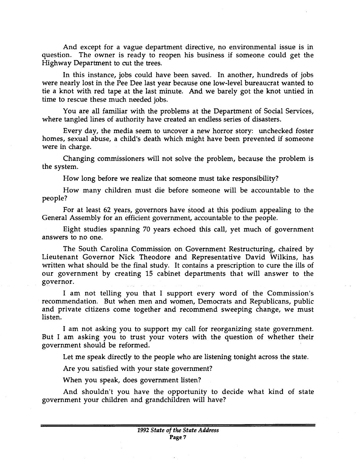And except for a vague department directive, no environmental issue is in question. The owner is ready to reopen his business if someone could get the Highway Department to cut the trees.

In this instance, jobs could have been saved. In another, hundreds of jobs were nearly lost in the Pee Dee last year because one low-level bureaucrat wanted to tie a knot with red tape at the last minute. And we barely got the knot untied in time to rescue these much needed jobs.

You are all familiar with the problems at the Department of Social Services, where tangled lines of authority have created an endless series of disasters.

Every day, the media seem to uncover a new horror story: unchecked foster homes, sexual abuse, a child's death which might have been prevented if someone were in charge.

Changing commissioners will not solve the problem, because the problem is the system.

How long before we realize that someone must take responsibility?

How many children must die before someone will be accountable to the people?

For at least 62 years, governors have stood at this podium appealing to the General Assembly for an efficient government, accountable to the people.

Eight studies spanning 70 years echoed this call, yet much of government answers to no one.

The South Carolina Commission on Government Restructuring, chaired by Lieutenant Governor Nick Theodore and Representative David Wilkins, has written what should be the final study. It contains a prescription to cure the ills of our government by creating 15 cabinet departments that will answer to the governor.

I am not telling you that I support every word of the Commission's recommendation. But when men and women, Democrats and Republicans, public and private citizens come together and recommend sweeping change, we must listen.

I am not asking you to support my call for reorganizing state government. But I am asking you to trust your voters with the question of whether their government should be reformed.

Let me speak directly to the people who are listening tonight across the state.

Are you satisfied with your state government?

When you speak, does government listen?

And shouldn't you have the opportunity to decide what kind of state government your children and grandchildren will have?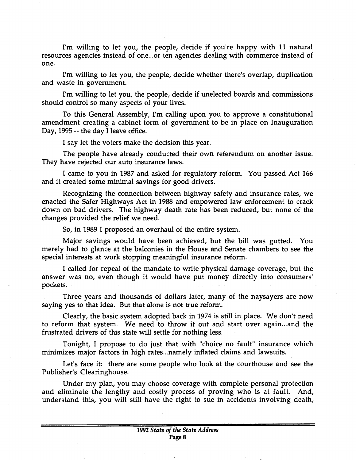I'm willing to let you, the people, decide if you're happy with 11 natural resources agencies instead of one...or ten agencies dealing with commerce instead of one.

I'm willing to let you, the people, decide whether there's overlap, duplication and waste in government.

I'm willing to let you, the people, decide if unelected boards and commissions should control so many aspects of your lives.

To this General Assembly, I'm calling upon you to approve a constitutional amendment creating a cabinet form of government to be in place on Inauguration Day, 1995 -- the day I leave office.

I say let the voters make the decision this year.

The people have already conducted their own referendum on another issue. They have rejected our auto insurance laws.

I came to you in 1987 and asked for regulatory reform. You passed Act 166 and it created some minimal savings for good drivers.

Recognizing the connection between highway safety and insurance rates, we enacted the Safer Highways Act in 1988 and empowered law enforcement to crack down on bad drivers. The highway death rate has been reduced, but none of the changes provided the relief we need.

So, in 1989 I proposed an overhaul of the entire system.

Major savings would have been achieved, but the bill was gutted. You merely had to glance at the balconies in the House and Senate chambers to see the special interests at work stopping meaningful insurance reform.

I called for repeal of the mandate to write physical damage coverage, but the answer was no, even though it would have put money directly into consumers' pockets.

Three years and thousands of dollars later, many of the naysayers are now saying yes to that idea. But that alone is not true reform.

Clearly, the basic system adopted back in 1974 is still in place. We don't need to reform that system. We need to throw it out and start over again ... and the frustrated drivers of this state will settle for nothing less.

Tonight, I propose to do just that with "choice no fault" insurance which minimizes major factors in high rates...namely inflated claims and lawsuits.

Let's face it: there are some people who look at the courthouse and see the Publisher's Clearinghouse.

Under my plan, you may choose coverage with complete personal protection and eliminate the lengthy and costly process of proving who is at fault. And, understand this, you will still have the right to sue in accidents involving death,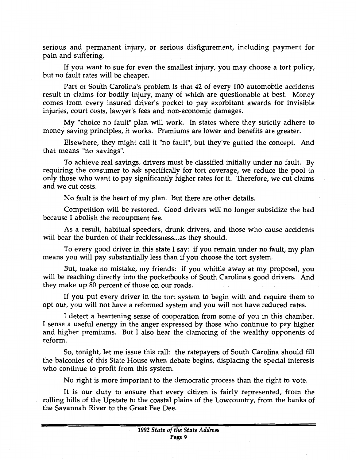serious and permanent injury, or serious disfigurement, including payment for pain and suffering.

If you want to sue for even the smallest injury, you may choose a tort policy, but no fault rates will be cheaper.

Part of South Carolina's problem is that 42 of every 100 automobile accidents result in claims for bodily injury, many of which are questionable at best. Money comes from every insured driver's pocket to pay exorbitant awards for invisible injuries, court costs, lawyer's fees and non-economic damages.

My "choice no fault" plan will work. In states where they strictly adhere to money saving principles, it works. Premiums are lower and benefits are greater.

Elsewhere, they might call it "no fault", but they've gutted the concept. And that means "no savings".

To achieve real savings, drivers must be classified initially under no fault. By requiring the consumer to ask specifically for tort coverage, we reduce the pool to only those who want to pay significantly higher rates for it. Therefore, we cut claims and we cut costs.

No fault is the heart of my plan. But there are other details.

Competition will be restored. Good drivers will no longer subsidize the bad because I abolish the recoupment fee.

As a result, habitual speeders, drunk drivers, and those who cause accidents will bear the burden of their recklessness... as they should.

To every good driver in this state I say: if you remain under no fault, my plan means you will pay substantially less than if you choose the tort system.

But, make no mistake, my friends: if you whittle away at my proposal, you will be reaching directly into the pocketbooks of South Carolina's good drivers. And they make up 80 percent of those on our roads.

If you put every driver in the tort system to begin with and require them to opt out, you will not have a reformed system and you will not have reduced rates.

I detect a heartening sense of cooperation from some of you in this chamber. I sense a useful energy in the anger expressed by those who continue to pay higher and higher premiums. But I also hear the clamoring of the wealthy opponents of reform.

So, tonight, let me issue this call: the ratepayers of South Carolina should fill the balconies of this State House when debate begins, displacing the special interests who continue to profit from this system.

No right is more important to the democratic process than the right to vote.

It is our duty to ensure that every citizen is fairly represented, from the rolling hills of the Upstate to the coastal plains of the Lowcountry, from the banks of the Savannah River to the Great Pee Dee.